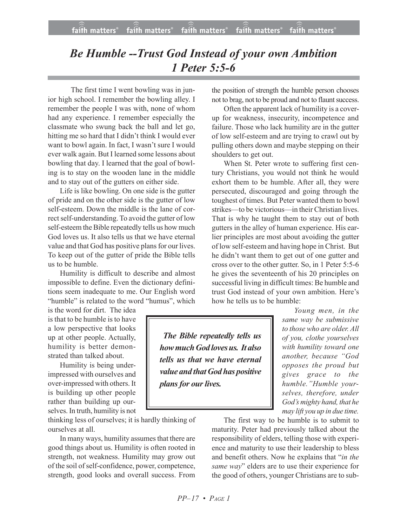## *Be Humble --Trust God Instead of your own Ambition 1 Peter 5:5-6*

 The first time I went bowling was in junior high school. I remember the bowling alley. I remember the people I was with, none of whom had any experience. I remember especially the classmate who swung back the ball and let go, hitting me so hard that I didn't think I would ever want to bowl again. In fact, I wasn't sure I would ever walk again. But I learned some lessons about bowling that day. I learned that the goal of bowling is to stay on the wooden lane in the middle and to stay out of the gutters on either side.

Life is like bowling. On one side is the gutter of pride and on the other side is the gutter of low self-esteem. Down the middle is the lane of correct self-understanding. To avoid the gutter of low self-esteem the Bible repeatedly tells us how much God loves us. It also tells us that we have eternal value and that God has positive plans for our lives. To keep out of the gutter of pride the Bible tells us to be humble.

Humility is difficult to describe and almost impossible to define. Even the dictionary definitions seem inadequate to me. Our English word "humble" is related to the word "humus", which

is the word for dirt. The idea is that to be humble is to have a low perspective that looks up at other people. Actually, humility is better demonstrated than talked about.

Humility is being underimpressed with ourselves and over-impressed with others. It is building up other people rather than building up ourselves. In truth, humility is not

thinking less of ourselves; it is hardly thinking of ourselves at all.

In many ways, humility assumes that there are good things about us. Humility is often rooted in strength, not weakness. Humility may grow out of the soil of self-confidence, power, competence, strength, good looks and overall success. From

the position of strength the humble person chooses not to brag, not to be proud and not to flaunt success.

Often the apparent lack of humility is a coverup for weakness, insecurity, incompetence and failure. Those who lack humility are in the gutter of low self-esteem and are trying to crawl out by pulling others down and maybe stepping on their shoulders to get out.

When St. Peter wrote to suffering first century Christians, you would not think he would exhort them to be humble. After all, they were persecuted, discouraged and going through the toughest of times. But Peter wanted them to bowl strikes—to be victorious—in their Christian lives. That is why he taught them to stay out of both gutters in the alley of human experience. His earlier principles are most about avoiding the gutter of low self-esteem and having hope in Christ. But he didn't want them to get out of one gutter and cross over to the other gutter. So, in 1 Peter 5:5-6 he gives the seventeenth of his 20 principles on successful living in difficult times: Be humble and trust God instead of your own ambition. Here's how he tells us to be humble:

*The Bible repeatedly tells us how much God loves us. It also tells us that we have eternal value and thatGod has positive plans for our lives.*

*Young men, in the same way be submissive to those who are older. All of you, clothe yourselves with humility toward one another, because "God opposes the proud but gives grace to the humble."Humble yourselves, therefore, under God's mighty hand, that he may lift you up in due time.*

The first way to be humble is to submit to maturity. Peter had previously talked about the responsibility of elders, telling those with experience and maturity to use their leadership to bless and benefit others. Now he explains that "*in the same way*" elders are to use their experience for the good of others, younger Christians are to sub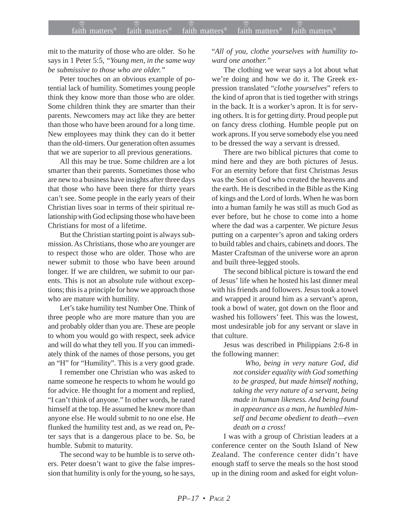mit to the maturity of those who are older. So he says in 1 Peter 5:5, *"Young men, in the same way be submissive to those who are older."*

Peter touches on an obvious example of potential lack of humility. Sometimes young people think they know more than those who are older. Some children think they are smarter than their parents. Newcomers may act like they are better than those who have been around for a long time. New employees may think they can do it better than the old-timers. Our generation often assumes that we are superior to all previous generations.

All this may be true. Some children are a lot smarter than their parents. Sometimes those who are new to a business have insights after three days that those who have been there for thirty years can't see. Some people in the early years of their Christian lives soar in terms of their spiritual relationship with God eclipsing those who have been Christians for most of a lifetime.

But the Christian starting point is always submission. As Christians, those who are younger are to respect those who are older. Those who are newer submit to those who have been around longer. If we are children, we submit to our parents. This is not an absolute rule without exceptions; this is a principle for how we approach those who are mature with humility.

Let's take humility test Number One. Think of three people who are more mature than you are and probably older than you are. These are people to whom you would go with respect, seek advice and will do what they tell you. If you can immediately think of the names of those persons, you get an "H" for "Humility". This is a very good grade.

I remember one Christian who was asked to name someone he respects to whom he would go for advice. He thought for a moment and replied, "I can't think of anyone." In other words, he rated himself at the top. He assumed he knew more than anyone else. He would submit to no one else. He flunked the humility test and, as we read on, Peter says that is a dangerous place to be. So, be humble. Submit to maturity.

The second way to be humble is to serve others. Peter doesn't want to give the false impression that humility is only for the young, so he says,

## "*All of you, clothe yourselves with humility toward one another."*

The clothing we wear says a lot about what we're doing and how we do it. The Greek expression translated "*clothe yourselves*" refers to the kind of apron that is tied together with strings in the back. It is a worker's apron. It is for serving others. It is for getting dirty. Proud people put on fancy dress clothing. Humble people put on work aprons. If you serve somebody else you need to be dressed the way a servant is dressed.

There are two biblical pictures that come to mind here and they are both pictures of Jesus. For an eternity before that first Christmas Jesus was the Son of God who created the heavens and the earth. He is described in the Bible as the King of kings and the Lord of lords. When he was born into a human family he was still as much God as ever before, but he chose to come into a home where the dad was a carpenter. We picture Jesus putting on a carpenter's apron and taking orders to build tables and chairs, cabinets and doors. The Master Craftsman of the universe wore an apron and built three-legged stools.

The second biblical picture is toward the end of Jesus' life when he hosted his last dinner meal with his friends and followers. Jesus took a towel and wrapped it around him as a servant's apron, took a bowl of water, got down on the floor and washed his followers' feet. This was the lowest, most undesirable job for any servant or slave in that culture.

Jesus was described in Philippians 2:6-8 in the following manner:

> *Who, being in very nature God, did not consider equality with God something to be grasped, but made himself nothing, taking the very nature of a servant, being made in human likeness. And being found in appearance as a man, he humbled himself and became obedient to death—even death on a cross!*

I was with a group of Christian leaders at a conference center on the South Island of New Zealand. The conference center didn't have enough staff to serve the meals so the host stood up in the dining room and asked for eight volun-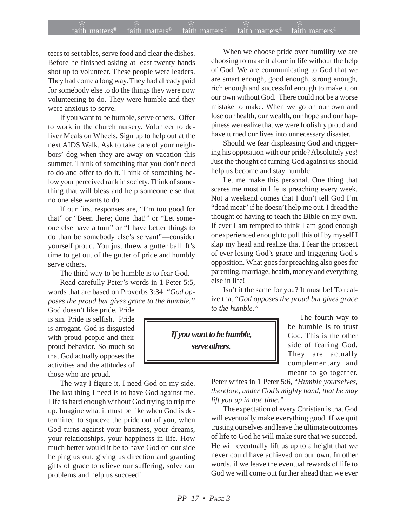## $f$ aith matters® staith matters® staith matters® staith matters® staith matters® faith matters<sup>®</sup> ))) )))

teers to set tables, serve food and clear the dishes. Before he finished asking at least twenty hands shot up to volunteer. These people were leaders. They had come a long way. They had already paid for somebody else to do the things they were now volunteering to do. They were humble and they were anxious to serve.

If you want to be humble, serve others. Offer to work in the church nursery. Volunteer to deliver Meals on Wheels. Sign up to help out at the next AIDS Walk. Ask to take care of your neighbors' dog when they are away on vacation this summer. Think of something that you don't need to do and offer to do it. Think of something below your perceived rank in society. Think of something that will bless and help someone else that no one else wants to do.

If our first responses are, "I'm too good for that" or "Been there; done that!" or "Let someone else have a turn" or "I have better things to do than be somebody else's servant"—consider yourself proud. You just threw a gutter ball. It's time to get out of the gutter of pride and humbly serve others.

The third way to be humble is to fear God.

Read carefully Peter's words in 1 Peter 5:5, words that are based on Proverbs 3:34: "*God opposes the proud but gives grace to the humble."*

God doesn't like pride. Pride is sin. Pride is selfish. Pride is arrogant. God is disgusted with proud people and their proud behavior. So much so that God actually opposes the activities and the attitudes of those who are proud.

The way I figure it, I need God on my side. The last thing I need is to have God against me. Life is hard enough without God trying to trip me up. Imagine what it must be like when God is determined to squeeze the pride out of you, when God turns against your business, your dreams, your relationships, your happiness in life. How much better would it be to have God on our side helping us out, giving us direction and granting gifts of grace to relieve our suffering, solve our problems and help us succeed!

When we choose pride over humility we are choosing to make it alone in life without the help of God. We are communicating to God that we are smart enough, good enough, strong enough, rich enough and successful enough to make it on our own without God. There could not be a worse mistake to make. When we go on our own and lose our health, our wealth, our hope and our happiness we realize that we were foolishly proud and have turned our lives into unnecessary disaster.

Should we fear displeasing God and triggering his opposition with our pride? Absolutely yes! Just the thought of turning God against us should help us become and stay humble.

Let me make this personal. One thing that scares me most in life is preaching every week. Not a weekend comes that I don't tell God I'm "dead meat" if he doesn't help me out. I dread the thought of having to teach the Bible on my own. If ever I am tempted to think I am good enough or experienced enough to pull this off by myself I slap my head and realize that I fear the prospect of ever losing God's grace and triggering God's opposition. What goes for preaching also goes for parenting, marriage, health, money and everything else in life!

Isn't it the same for you? It must be! To realize that "*God opposes the proud but gives grace to the humble."*

*If you want to be humble, serve others.*

The fourth way to be humble is to trust God. This is the other side of fearing God. They are actually complementary and meant to go together.

Peter writes in 1 Peter 5:6, "*Humble yourselves, therefore, under God's mighty hand, that he may lift you up in due time."*

The expectation of every Christian is that God will eventually make everything good. If we quit trusting ourselves and leave the ultimate outcomes of life to God he will make sure that we succeed. He will eventually lift us up to a height that we never could have achieved on our own. In other words, if we leave the eventual rewards of life to God we will come out further ahead than we ever